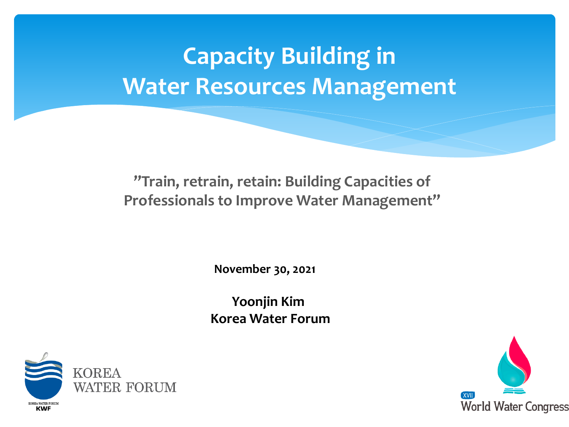### **Capacity Building in Water Resources Management**

**"Train, retrain, retain: Building Capacities of Professionals to Improve Water Management"**

**November 30, 2021**

**Yoonjin Kim Korea Water Forum**



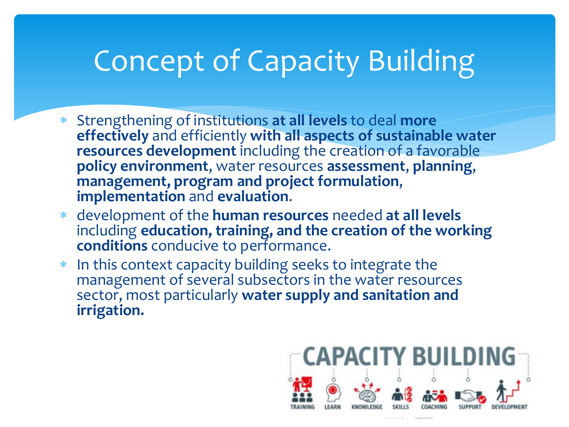# Concept of Capacity Building

- Strengthening of institutions **at all levels** to deal **more effectively** and efficiently **with all aspects of sustainable water resources development** including the creation of a favorable **policy environment**, water resources **assessment**, **planning**, **management, program and project formulation**, **implementation** and **evaluation**.
- development of the **human resources** needed **at all levels**  including **education, training, and the creation of the working conditions** conducive to performance.
- In this context capacity building seeks to integrate the management of several subsectors in the water resources sector, most particularly **water supply and sanitation and irrigation.**

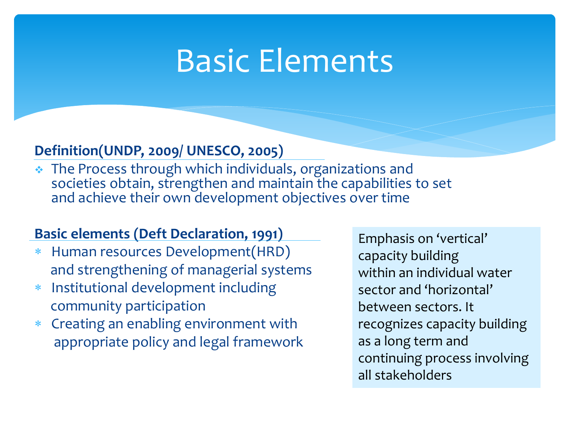# Basic Elements

### **Definition(UNDP, 2009/ UNESCO, 2005)**

\* The Process through which individuals, organizations and societies obtain, strengthen and maintain the capabilities to set and achieve their own development objectives over time

### **Basic elements (Deft Declaration, 1991)**

- Human resources Development(HRD) and strengthening of managerial systems
- Institutional development including community participation
- Creating an enabling environment with appropriate policy and legal framework

Emphasis on 'vertical' capacity building within an individual water sector and 'horizontal' between sectors. It recognizes capacity building as a long term and continuing process involving all stakeholders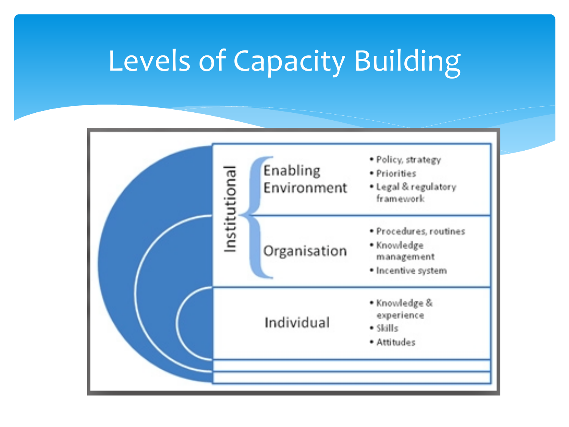## Levels of Capacity Building

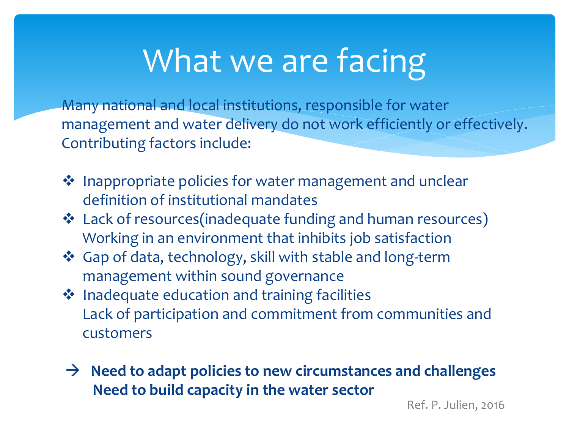# What we are facing

Many national and local institutions, responsible for water management and water delivery do not work efficiently or effectively. Contributing factors include:

- ◆ Inappropriate policies for water management and unclear definition of institutional mandates
- Lack of resources(inadequate funding and human resources) Working in an environment that inhibits job satisfaction
- Gap of data, technology, skill with stable and long-term management within sound governance
- ❖ Inadequate education and training facilities Lack of participation and commitment from communities and customers
- → Need to adapt policies to new circumstances and challenges **Need to build capacity in the water sector**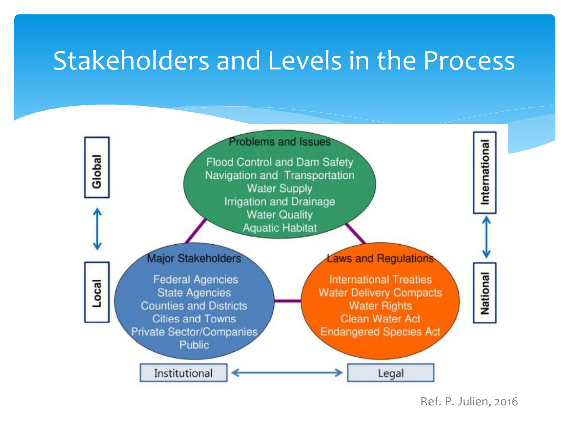### Stakeholders and Levels in the Process



Ref. P. Julien, 2016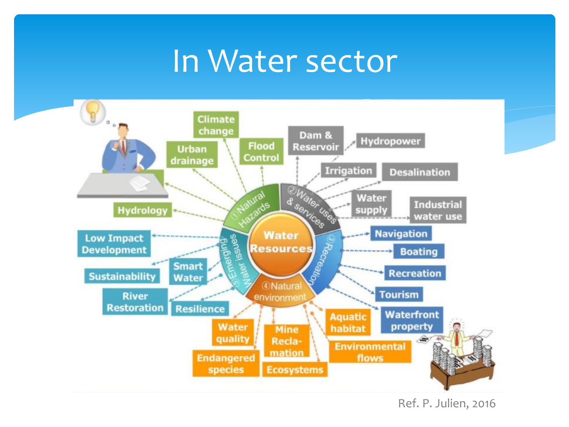### In Water sector



Ref. P. Julien, 2016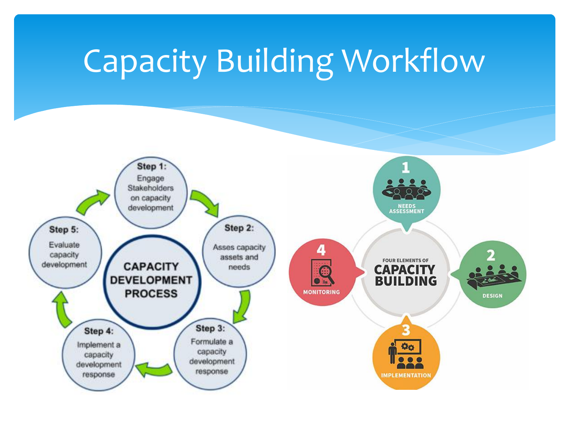# Capacity Building Workflow

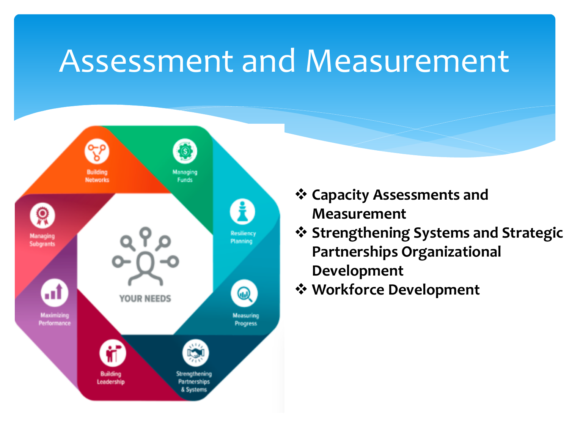## Assessment and Measurement



- **Capacity Assessments and Measurement**
- **Strengthening Systems and Strategic Partnerships Organizational Development**
- **Workforce Development**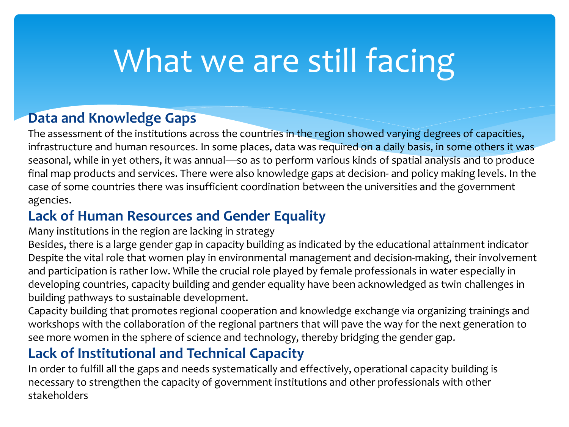# What we are still facing

#### **Data and Knowledge Gaps**

The assessment of the institutions across the countries in the region showed varying degrees of capacities, infrastructure and human resources. In some places, data was required on a daily basis, in some others it was seasonal, while in yet others, it was annual—so as to perform various kinds of spatial analysis and to produce final map products and services. There were also knowledge gaps at decision- and policy making levels. In the case of some countries there was insufficient coordination between the universities and the government agencies.

### **Lack of Human Resources and Gender Equality**

Many institutions in the region are lacking in strategy

Besides, there is a large gender gap in capacity building as indicated by the educational attainment indicator Despite the vital role that women play in environmental management and decision-making, their involvement and participation is rather low. While the crucial role played by female professionals in water especially in developing countries, capacity building and gender equality have been acknowledged as twin challenges in building pathways to sustainable development.

Capacity building that promotes regional cooperation and knowledge exchange via organizing trainings and workshops with the collaboration of the regional partners that will pave the way for the next generation to see more women in the sphere of science and technology, thereby bridging the gender gap.

### **Lack of Institutional and Technical Capacity**

In order to fulfill all the gaps and needs systematically and effectively, operational capacity building is necessary to strengthen the capacity of government institutions and other professionals with other stakeholders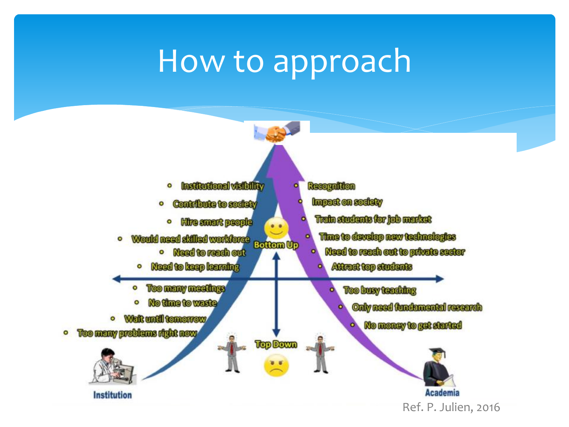# How to approach